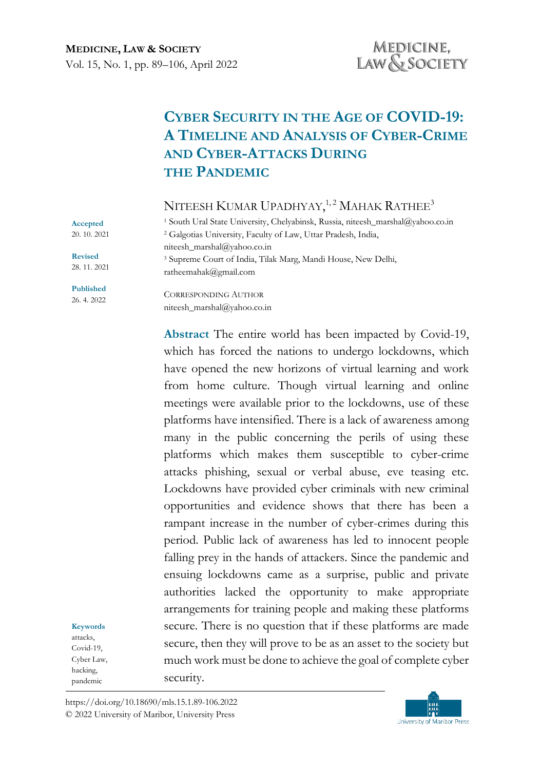# **CYBER SECURITY IN THE AGE OF COVID-19: A TIMELINE AND ANALYSIS OF CYBER-CRIME AND CYBER-ATTACKS DURING THE PANDEMIC**

NITEESH  ${\rm K}$ umar Upadhyay, $^{1,2}$  Mahak Rathee $^3$ 

<sup>1</sup> South Ural State University, Chelyabinsk, Russia, niteesh\_marshal@yahoo.co.in <sup>2</sup> Galgotias University, Faculty of Law, Uttar Pradesh, India, niteesh\_marshal@yahoo.co.in <sup>3</sup> Supreme Court of India, Tilak Marg, Mandi House, New Delhi, ratheemahak@gmail.com

**Accepted**  20. 10. 2021

**Revised** 28. 11. 2021

**Published** 26. 4. 2022

CORRESPONDING AUTHOR niteesh\_marshal@yahoo.co.in

**Abstract** The entire world has been impacted by Covid-19, which has forced the nations to undergo lockdowns, which have opened the new horizons of virtual learning and work from home culture. Though virtual learning and online meetings were available prior to the lockdowns, use of these platforms have intensified. There is a lack of awareness among many in the public concerning the perils of using these platforms which makes them susceptible to cyber-crime attacks phishing, sexual or verbal abuse, eve teasing etc. Lockdowns have provided cyber criminals with new criminal opportunities and evidence shows that there has been a rampant increase in the number of cyber-crimes during this period. Public lack of awareness has led to innocent people falling prey in the hands of attackers. Since the pandemic and ensuing lockdowns came as a surprise, public and private authorities lacked the opportunity to make appropriate arrangements for training people and making these platforms secure. There is no question that if these platforms are made secure, then they will prove to be as an asset to the society but much work must be done to achieve the goal of complete cyber security.

**Keywords** attacks, Covid-19, Cyber Law, hacking,

pandemic

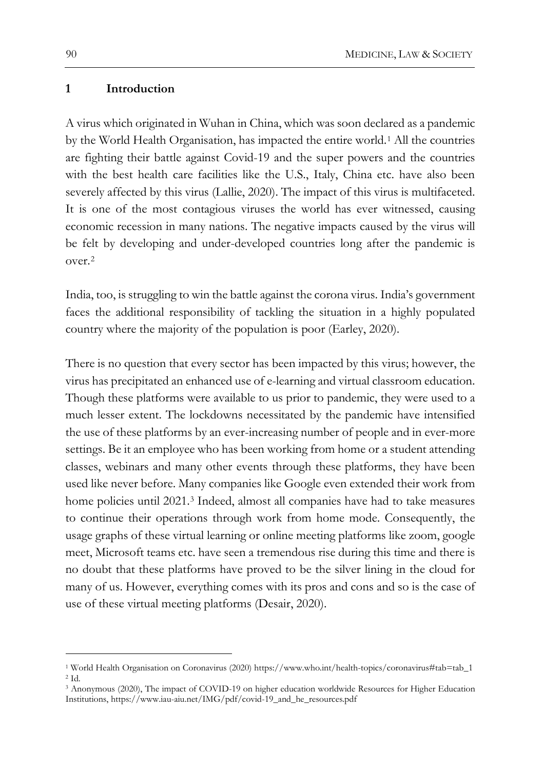#### **1 Introduction**

A virus which originated in Wuhan in China, which was soon declared as a pandemic by the World Health Organisation, has impacted the entire world.[1](#page-1-0) All the countries are fighting their battle against Covid-19 and the super powers and the countries with the best health care facilities like the U.S., Italy, China etc. have also been severely affected by this virus (Lallie, 2020). The impact of this virus is multifaceted. It is one of the most contagious viruses the world has ever witnessed, causing economic recession in many nations. The negative impacts caused by the virus will be felt by developing and under-developed countries long after the pandemic is over.[2](#page-1-1)

India, too, is struggling to win the battle against the corona virus. India's government faces the additional responsibility of tackling the situation in a highly populated country where the majority of the population is poor (Earley, 2020).

There is no question that every sector has been impacted by this virus; however, the virus has precipitated an enhanced use of e-learning and virtual classroom education. Though these platforms were available to us prior to pandemic, they were used to a much lesser extent. The lockdowns necessitated by the pandemic have intensified the use of these platforms by an ever-increasing number of people and in ever-more settings. Be it an employee who has been working from home or a student attending classes, webinars and many other events through these platforms, they have been used like never before. Many companies like Google even extended their work from home policies until 2021.[3](#page-1-2) Indeed, almost all companies have had to take measures to continue their operations through work from home mode. Consequently, the usage graphs of these virtual learning or online meeting platforms like zoom, google meet, Microsoft teams etc. have seen a tremendous rise during this time and there is no doubt that these platforms have proved to be the silver lining in the cloud for many of us. However, everything comes with its pros and cons and so is the case of use of these virtual meeting platforms (Desair, 2020).

<span id="page-1-0"></span><sup>1</sup> World Health Organisation on Coronavirus (2020) https://www.who.int/health-[topics/coronavirus#tab=tab\\_1](https://www.who.int/health-topics/coronavirus#tab=tab_1) <sup>2</sup> Id.

<span id="page-1-2"></span><span id="page-1-1"></span><sup>3</sup> Anonymous (2020), The impact of COVID-19 on higher education worldwide Resources for Higher Education Institutions, https://www.iau-aiu.net/IMG/pdf/covid-[19\\_and\\_he\\_resources.pdf](https://www.iau-aiu.net/IMG/pdf/covid-19_and_he_resources.pdf)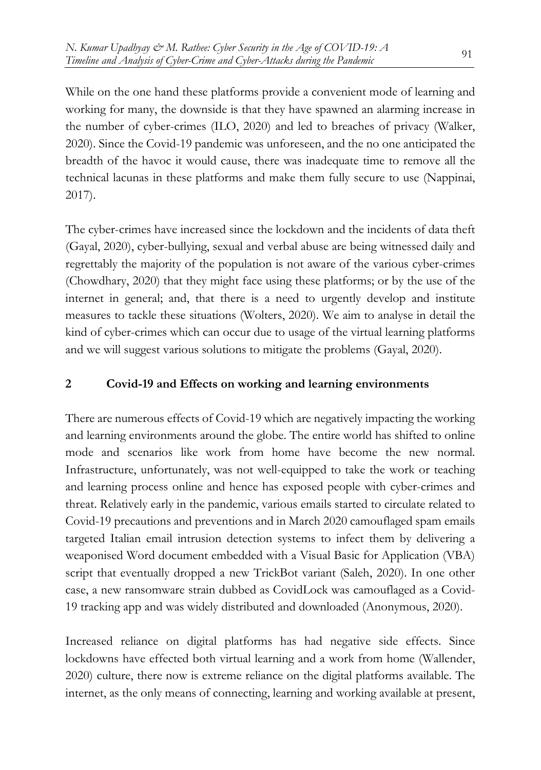While on the one hand these platforms provide a convenient mode of learning and working for many, the downside is that they have spawned an alarming increase in the number of cyber-crimes (ILO, 2020) and led to breaches of privacy (Walker, 2020). Since the Covid-19 pandemic was unforeseen, and the no one anticipated the breadth of the havoc it would cause, there was inadequate time to remove all the technical lacunas in these platforms and make them fully secure to use (Nappinai, 2017).

The cyber-crimes have increased since the lockdown and the incidents of data theft (Gayal, 2020), cyber-bullying, sexual and verbal abuse are being witnessed daily and regrettably the majority of the population is not aware of the various cyber-crimes (Chowdhary, 2020) that they might face using these platforms; or by the use of the internet in general; and, that there is a need to urgently develop and institute measures to tackle these situations (Wolters, 2020). We aim to analyse in detail the kind of cyber-crimes which can occur due to usage of the virtual learning platforms and we will suggest various solutions to mitigate the problems (Gayal, 2020).

## **2 Covid-19 and Effects on working and learning environments**

There are numerous effects of Covid-19 which are negatively impacting the working and learning environments around the globe. The entire world has shifted to online mode and scenarios like work from home have become the new normal. Infrastructure, unfortunately, was not well-equipped to take the work or teaching and learning process online and hence has exposed people with cyber-crimes and threat. Relatively early in the pandemic, various emails started to circulate related to Covid-19 precautions and preventions and in March 2020 camouflaged spam emails targeted Italian email intrusion detection systems to infect them by delivering a weaponised Word document embedded with a Visual Basic for Application (VBA) script that eventually dropped a new TrickBot variant (Saleh, 2020). In one other case, a new ransomware strain dubbed as CovidLock was camouflaged as a Covid-19 tracking app and was widely distributed and downloaded (Anonymous, 2020).

Increased reliance on digital platforms has had negative side effects. Since lockdowns have effected both virtual learning and a work from home (Wallender, 2020) culture, there now is extreme reliance on the digital platforms available. The internet, as the only means of connecting, learning and working available at present,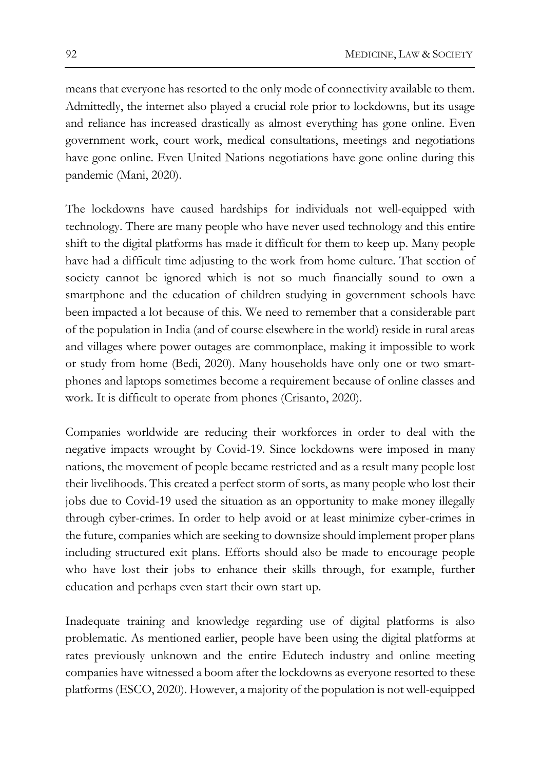means that everyone has resorted to the only mode of connectivity available to them. Admittedly, the internet also played a crucial role prior to lockdowns, but its usage and reliance has increased drastically as almost everything has gone online. Even government work, court work, medical consultations, meetings and negotiations have gone online. Even United Nations negotiations have gone online during this pandemic (Mani, 2020).

The lockdowns have caused hardships for individuals not well-equipped with technology. There are many people who have never used technology and this entire shift to the digital platforms has made it difficult for them to keep up. Many people have had a difficult time adjusting to the work from home culture. That section of society cannot be ignored which is not so much financially sound to own a smartphone and the education of children studying in government schools have been impacted a lot because of this. We need to remember that a considerable part of the population in India (and of course elsewhere in the world) reside in rural areas and villages where power outages are commonplace, making it impossible to work or study from home (Bedi, 2020). Many households have only one or two smartphones and laptops sometimes become a requirement because of online classes and work. It is difficult to operate from phones (Crisanto, 2020).

Companies worldwide are reducing their workforces in order to deal with the negative impacts wrought by Covid-19. Since lockdowns were imposed in many nations, the movement of people became restricted and as a result many people lost their livelihoods. This created a perfect storm of sorts, as many people who lost their jobs due to Covid-19 used the situation as an opportunity to make money illegally through cyber-crimes. In order to help avoid or at least minimize cyber-crimes in the future, companies which are seeking to downsize should implement proper plans including structured exit plans. Efforts should also be made to encourage people who have lost their jobs to enhance their skills through, for example, further education and perhaps even start their own start up.

Inadequate training and knowledge regarding use of digital platforms is also problematic. As mentioned earlier, people have been using the digital platforms at rates previously unknown and the entire Edutech industry and online meeting companies have witnessed a boom after the lockdowns as everyone resorted to these platforms (ESCO, 2020). However, a majority of the population is not well-equipped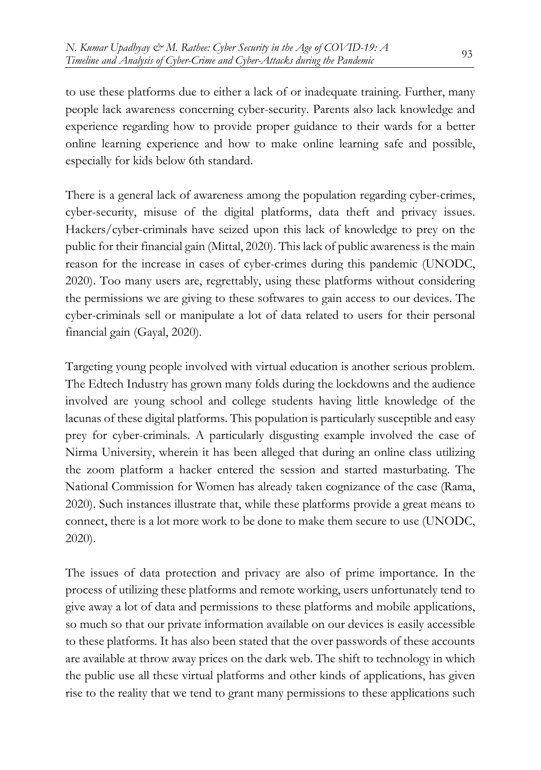to use these platforms due to either a lack of or inadequate training. Further, many people lack awareness concerning cyber-security. Parents also lack knowledge and experience regarding how to provide proper guidance to their wards for a better online learning experience and how to make online learning safe and possible, especially for kids below 6th standard.

There is a general lack of awareness among the population regarding cyber-crimes, cyber-security, misuse of the digital platforms, data theft and privacy issues. Hackers/cyber-criminals have seized upon this lack of knowledge to prey on the public for their financial gain (Mittal, 2020). This lack of public awareness is the main reason for the increase in cases of cyber-crimes during this pandemic (UNODC, 2020). Too many users are, regrettably, using these platforms without considering the permissions we are giving to these softwares to gain access to our devices. The cyber-criminals sell or manipulate a lot of data related to users for their personal financial gain (Gayal, 2020).

Targeting young people involved with virtual education is another serious problem. The Edtech Industry has grown many folds during the lockdowns and the audience involved are young school and college students having little knowledge of the lacunas of these digital platforms. This population is particularly susceptible and easy prey for cyber-criminals. A particularly disgusting example involved the case of Nirma University, wherein it has been alleged that during an online class utilizing the zoom platform a hacker entered the session and started masturbating. The National Commission for Women has already taken cognizance of the case (Rama, 2020). Such instances illustrate that, while these platforms provide a great means to connect, there is a lot more work to be done to make them secure to use (UNODC, 2020).

The issues of data protection and privacy are also of prime importance. In the process of utilizing these platforms and remote working, users unfortunately tend to give away a lot of data and permissions to these platforms and mobile applications, so much so that our private information available on our devices is easily accessible to these platforms. It has also been stated that the over passwords of these accounts are available at throw away prices on the dark web. The shift to technology in which the public use all these virtual platforms and other kinds of applications, has given rise to the reality that we tend to grant many permissions to these applications such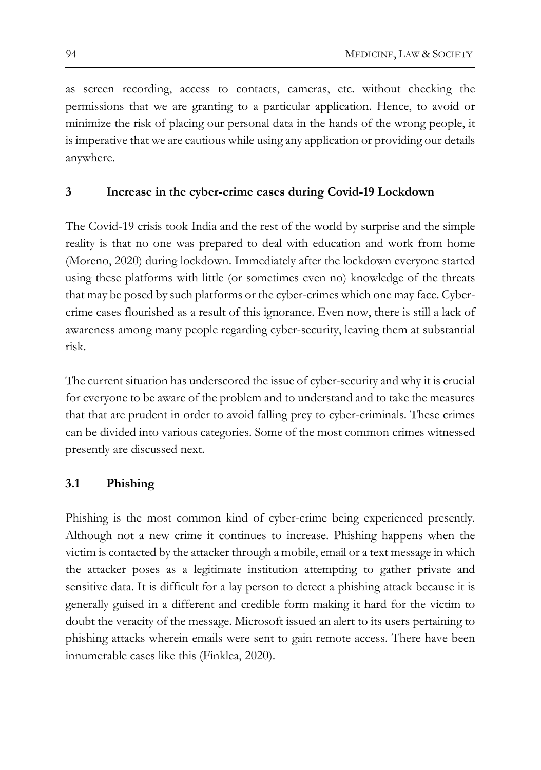as screen recording, access to contacts, cameras, etc. without checking the permissions that we are granting to a particular application. Hence, to avoid or minimize the risk of placing our personal data in the hands of the wrong people, it is imperative that we are cautious while using any application or providing our details anywhere.

### **3 Increase in the cyber-crime cases during Covid-19 Lockdown**

The Covid-19 crisis took India and the rest of the world by surprise and the simple reality is that no one was prepared to deal with education and work from home (Moreno, 2020) during lockdown. Immediately after the lockdown everyone started using these platforms with little (or sometimes even no) knowledge of the threats that may be posed by such platforms or the cyber-crimes which one may face. Cybercrime cases flourished as a result of this ignorance. Even now, there is still a lack of awareness among many people regarding cyber-security, leaving them at substantial risk.

The current situation has underscored the issue of cyber-security and why it is crucial for everyone to be aware of the problem and to understand and to take the measures that that are prudent in order to avoid falling prey to cyber-criminals. These crimes can be divided into various categories. Some of the most common crimes witnessed presently are discussed next.

## **3.1 Phishing**

Phishing is the most common kind of cyber-crime being experienced presently. Although not a new crime it continues to increase. Phishing happens when the victim is contacted by the attacker through a mobile, email or a text message in which the attacker poses as a legitimate institution attempting to gather private and sensitive data. It is difficult for a lay person to detect a phishing attack because it is generally guised in a different and credible form making it hard for the victim to doubt the veracity of the message. Microsoft issued an alert to its users pertaining to phishing attacks wherein emails were sent to gain remote access. There have been innumerable cases like this (Finklea, 2020).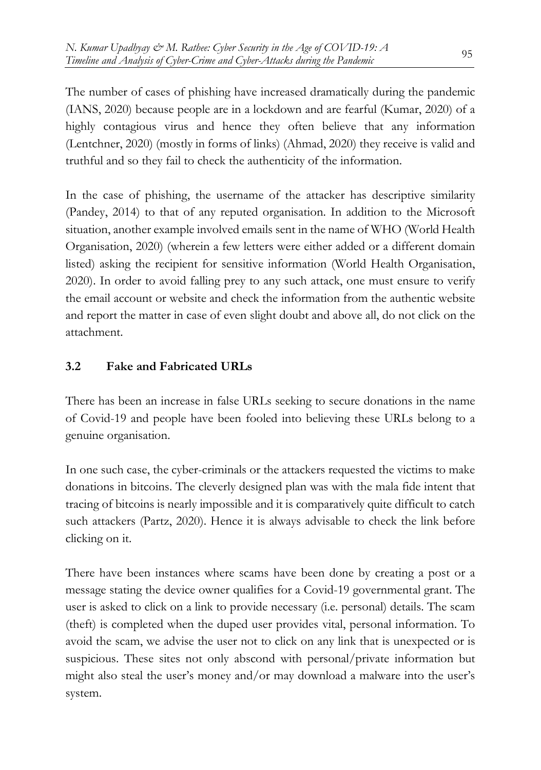The number of cases of phishing have increased dramatically during the pandemic (IANS, 2020) because people are in a lockdown and are fearful (Kumar, 2020) of a highly contagious virus and hence they often believe that any information (Lentchner, 2020) (mostly in forms of links) (Ahmad, 2020) they receive is valid and truthful and so they fail to check the authenticity of the information.

In the case of phishing, the username of the attacker has descriptive similarity (Pandey, 2014) to that of any reputed organisation. In addition to the Microsoft situation, another example involved emails sent in the name of WHO (World Health Organisation, 2020) (wherein a few letters were either added or a different domain listed) asking the recipient for sensitive information (World Health Organisation, 2020). In order to avoid falling prey to any such attack, one must ensure to verify the email account or website and check the information from the authentic website and report the matter in case of even slight doubt and above all, do not click on the attachment.

## **3.2 Fake and Fabricated URLs**

There has been an increase in false URLs seeking to secure donations in the name of Covid-19 and people have been fooled into believing these URLs belong to a genuine organisation.

In one such case, the cyber-criminals or the attackers requested the victims to make donations in bitcoins. The cleverly designed plan was with the mala fide intent that tracing of bitcoins is nearly impossible and it is comparatively quite difficult to catch such attackers (Partz, 2020). Hence it is always advisable to check the link before clicking on it.

There have been instances where scams have been done by creating a post or a message stating the device owner qualifies for a Covid-19 governmental grant. The user is asked to click on a link to provide necessary (i.e. personal) details. The scam (theft) is completed when the duped user provides vital, personal information. To avoid the scam, we advise the user not to click on any link that is unexpected or is suspicious. These sites not only abscond with personal/private information but might also steal the user's money and/or may download a malware into the user's system.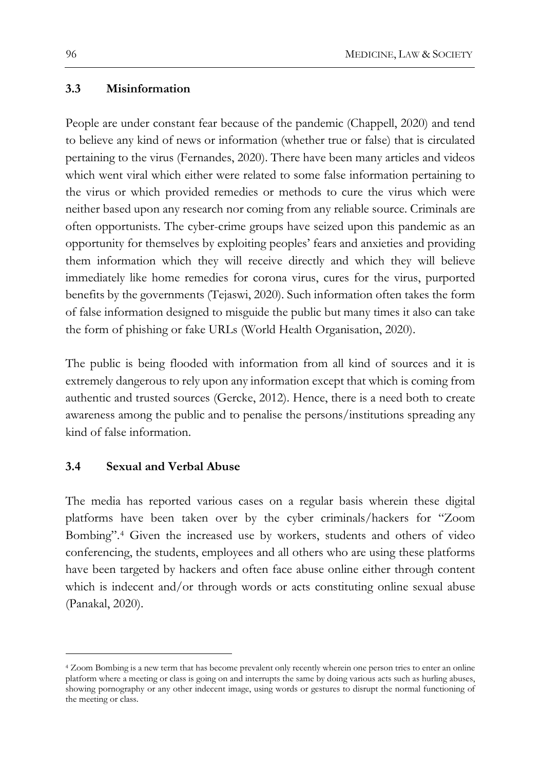#### **3.3 Misinformation**

People are under constant fear because of the pandemic (Chappell, 2020) and tend to believe any kind of news or information (whether true or false) that is circulated pertaining to the virus (Fernandes, 2020). There have been many articles and videos which went viral which either were related to some false information pertaining to the virus or which provided remedies or methods to cure the virus which were neither based upon any research nor coming from any reliable source. Criminals are often opportunists. The cyber-crime groups have seized upon this pandemic as an opportunity for themselves by exploiting peoples' fears and anxieties and providing them information which they will receive directly and which they will believe immediately like home remedies for corona virus, cures for the virus, purported benefits by the governments (Tejaswi, 2020). Such information often takes the form of false information designed to misguide the public but many times it also can take the form of phishing or fake URLs (World Health Organisation, 2020).

The public is being flooded with information from all kind of sources and it is extremely dangerous to rely upon any information except that which is coming from authentic and trusted sources (Gercke, 2012). Hence, there is a need both to create awareness among the public and to penalise the persons/institutions spreading any kind of false information.

#### **3.4 Sexual and Verbal Abuse**

The media has reported various cases on a regular basis wherein these digital platforms have been taken over by the cyber criminals/hackers for "Zoom Bombing".[4](#page-7-0) Given the increased use by workers, students and others of video conferencing, the students, employees and all others who are using these platforms have been targeted by hackers and often face abuse online either through content which is indecent and/or through words or acts constituting online sexual abuse (Panakal, 2020).

<span id="page-7-0"></span><sup>4</sup> Zoom Bombing is a new term that has become prevalent only recently wherein one person tries to enter an online platform where a meeting or class is going on and interrupts the same by doing various acts such as hurling abuses, showing pornography or any other indecent image, using words or gestures to disrupt the normal functioning of the meeting or class.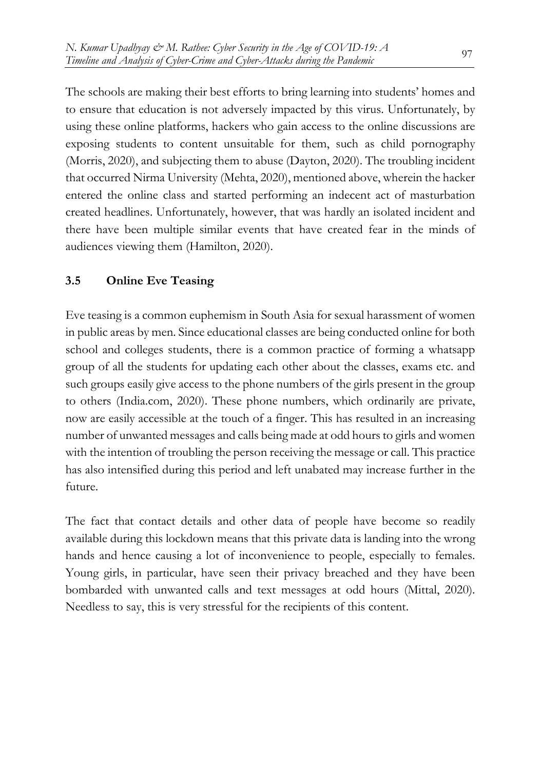The schools are making their best efforts to bring learning into students' homes and to ensure that education is not adversely impacted by this virus. Unfortunately, by using these online platforms, hackers who gain access to the online discussions are exposing students to content unsuitable for them, such as child pornography (Morris, 2020), and subjecting them to abuse (Dayton, 2020). The troubling incident that occurred Nirma University (Mehta, 2020), mentioned above, wherein the hacker entered the online class and started performing an indecent act of masturbation created headlines. Unfortunately, however, that was hardly an isolated incident and there have been multiple similar events that have created fear in the minds of audiences viewing them (Hamilton, 2020).

## **3.5 Online Eve Teasing**

Eve teasing is a common euphemism in South Asia for sexual harassment of women in public areas by men. Since educational classes are being conducted online for both school and colleges students, there is a common practice of forming a whatsapp group of all the students for updating each other about the classes, exams etc. and such groups easily give access to the phone numbers of the girls present in the group to others (India.com, 2020). These phone numbers, which ordinarily are private, now are easily accessible at the touch of a finger. This has resulted in an increasing number of unwanted messages and calls being made at odd hours to girls and women with the intention of troubling the person receiving the message or call. This practice has also intensified during this period and left unabated may increase further in the future.

The fact that contact details and other data of people have become so readily available during this lockdown means that this private data is landing into the wrong hands and hence causing a lot of inconvenience to people, especially to females. Young girls, in particular, have seen their privacy breached and they have been bombarded with unwanted calls and text messages at odd hours (Mittal, 2020). Needless to say, this is very stressful for the recipients of this content.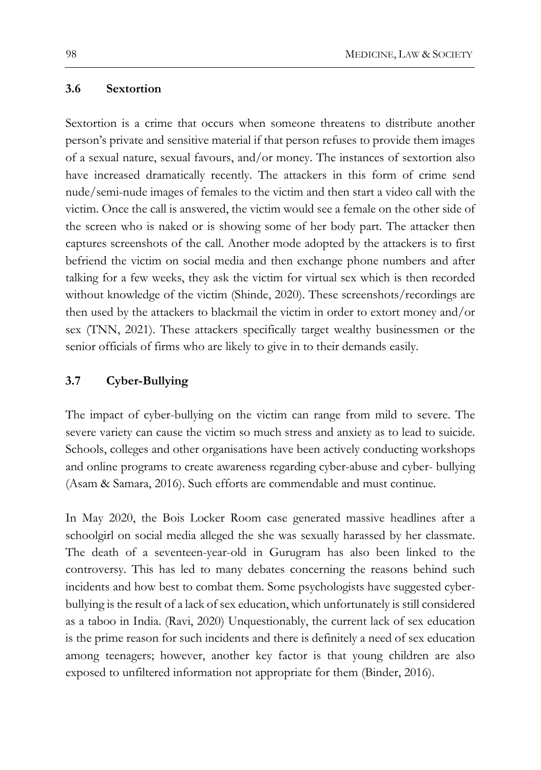#### **3.6 Sextortion**

Sextortion is a crime that occurs when someone threatens to distribute another person's private and sensitive material if that person refuses to provide them images of a sexual nature, sexual favours, and/or money. The instances of sextortion also have increased dramatically recently. The attackers in this form of crime send nude/semi-nude images of females to the victim and then start a video call with the victim. Once the call is answered, the victim would see a female on the other side of the screen who is naked or is showing some of her body part. The attacker then captures screenshots of the call. Another mode adopted by the attackers is to first befriend the victim on social media and then exchange phone numbers and after talking for a few weeks, they ask the victim for virtual sex which is then recorded without knowledge of the victim (Shinde, 2020). These screenshots/recordings are then used by the attackers to blackmail the victim in order to extort money and/or sex (TNN, 2021). These attackers specifically target wealthy businessmen or the senior officials of firms who are likely to give in to their demands easily.

#### **3.7 Cyber-Bullying**

The impact of cyber-bullying on the victim can range from mild to severe. The severe variety can cause the victim so much stress and anxiety as to lead to suicide. Schools, colleges and other organisations have been actively conducting workshops and online programs to create awareness regarding cyber-abuse and cyber- bullying (Asam & Samara, 2016). Such efforts are commendable and must continue.

In May 2020, the Bois Locker Room case generated massive headlines after a schoolgirl on social media alleged the she was sexually harassed by her classmate. The death of a seventeen-year-old in Gurugram has also been linked to the controversy. This has led to many debates concerning the reasons behind such incidents and how best to combat them. Some psychologists have suggested cyberbullying is the result of a lack of sex education, which unfortunately is still considered as a taboo in India. (Ravi, 2020) Unquestionably, the current lack of sex education is the prime reason for such incidents and there is definitely a need of sex education among teenagers; however, another key factor is that young children are also exposed to unfiltered information not appropriate for them (Binder, 2016).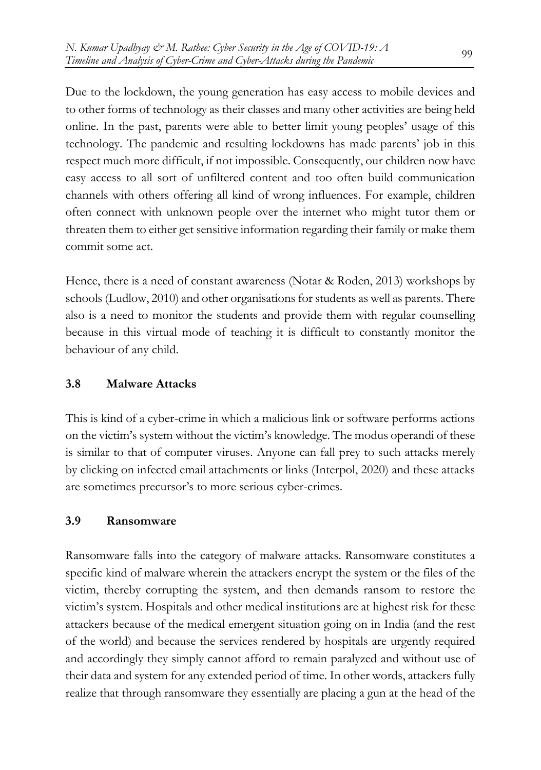Due to the lockdown, the young generation has easy access to mobile devices and to other forms of technology as their classes and many other activities are being held online. In the past, parents were able to better limit young peoples' usage of this technology. The pandemic and resulting lockdowns has made parents' job in this respect much more difficult, if not impossible. Consequently, our children now have easy access to all sort of unfiltered content and too often build communication channels with others offering all kind of wrong influences. For example, children often connect with unknown people over the internet who might tutor them or threaten them to either get sensitive information regarding their family or make them commit some act.

Hence, there is a need of constant awareness (Notar & Roden, 2013) workshops by schools (Ludlow, 2010) and other organisations for students as well as parents. There also is a need to monitor the students and provide them with regular counselling because in this virtual mode of teaching it is difficult to constantly monitor the behaviour of any child.

## **3.8 Malware Attacks**

This is kind of a cyber-crime in which a malicious link or software performs actions on the victim's system without the victim's knowledge. The modus operandi of these is similar to that of computer viruses. Anyone can fall prey to such attacks merely by clicking on infected email attachments or links (Interpol, 2020) and these attacks are sometimes precursor's to more serious cyber-crimes.

## **3.9 Ransomware**

Ransomware falls into the category of malware attacks. Ransomware constitutes a specific kind of malware wherein the attackers encrypt the system or the files of the victim, thereby corrupting the system, and then demands ransom to restore the victim's system. Hospitals and other medical institutions are at highest risk for these attackers because of the medical emergent situation going on in India (and the rest of the world) and because the services rendered by hospitals are urgently required and accordingly they simply cannot afford to remain paralyzed and without use of their data and system for any extended period of time. In other words, attackers fully realize that through ransomware they essentially are placing a gun at the head of the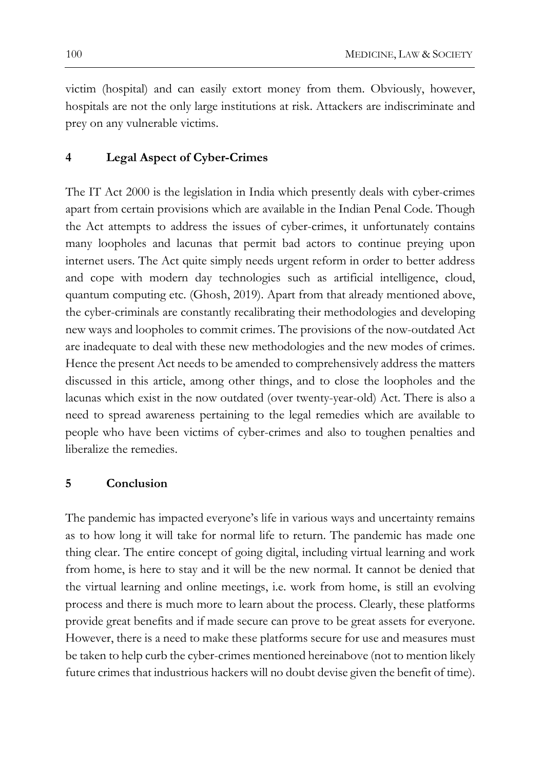victim (hospital) and can easily extort money from them. Obviously, however, hospitals are not the only large institutions at risk. Attackers are indiscriminate and prey on any vulnerable victims.

#### **4 Legal Aspect of Cyber-Crimes**

The IT Act 2000 is the legislation in India which presently deals with cyber-crimes apart from certain provisions which are available in the Indian Penal Code. Though the Act attempts to address the issues of cyber-crimes, it unfortunately contains many loopholes and lacunas that permit bad actors to continue preying upon internet users. The Act quite simply needs urgent reform in order to better address and cope with modern day technologies such as artificial intelligence, cloud, quantum computing etc. (Ghosh, 2019). Apart from that already mentioned above, the cyber-criminals are constantly recalibrating their methodologies and developing new ways and loopholes to commit crimes. The provisions of the now-outdated Act are inadequate to deal with these new methodologies and the new modes of crimes. Hence the present Act needs to be amended to comprehensively address the matters discussed in this article, among other things, and to close the loopholes and the lacunas which exist in the now outdated (over twenty-year-old) Act. There is also a need to spread awareness pertaining to the legal remedies which are available to people who have been victims of cyber-crimes and also to toughen penalties and liberalize the remedies.

#### **5 Conclusion**

The pandemic has impacted everyone's life in various ways and uncertainty remains as to how long it will take for normal life to return. The pandemic has made one thing clear. The entire concept of going digital, including virtual learning and work from home, is here to stay and it will be the new normal. It cannot be denied that the virtual learning and online meetings, i.e. work from home, is still an evolving process and there is much more to learn about the process. Clearly, these platforms provide great benefits and if made secure can prove to be great assets for everyone. However, there is a need to make these platforms secure for use and measures must be taken to help curb the cyber-crimes mentioned hereinabove (not to mention likely future crimes that industrious hackers will no doubt devise given the benefit of time).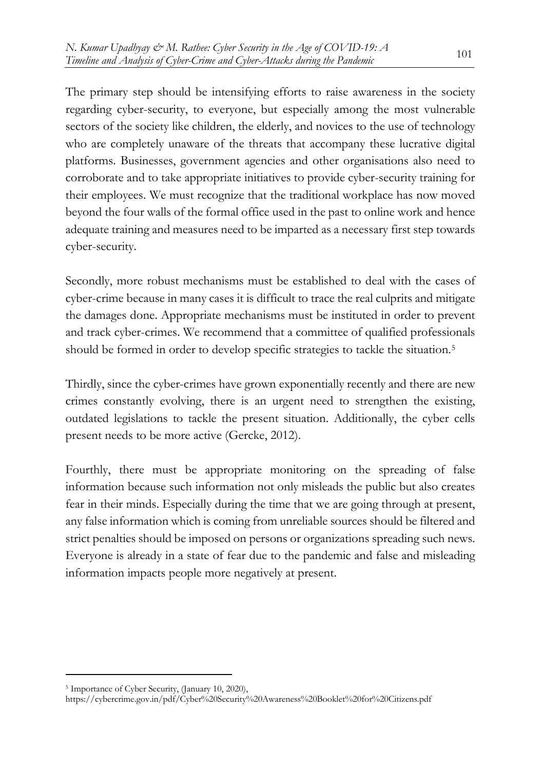The primary step should be intensifying efforts to raise awareness in the society regarding cyber-security, to everyone, but especially among the most vulnerable sectors of the society like children, the elderly, and novices to the use of technology who are completely unaware of the threats that accompany these lucrative digital platforms. Businesses, government agencies and other organisations also need to corroborate and to take appropriate initiatives to provide cyber-security training for their employees. We must recognize that the traditional workplace has now moved beyond the four walls of the formal office used in the past to online work and hence adequate training and measures need to be imparted as a necessary first step towards cyber-security.

Secondly, more robust mechanisms must be established to deal with the cases of cyber-crime because in many cases it is difficult to trace the real culprits and mitigate the damages done. Appropriate mechanisms must be instituted in order to prevent and track cyber-crimes. We recommend that a committee of qualified professionals should be formed in order to develop specific strategies to tackle the situation.[5](#page-12-0)

Thirdly, since the cyber-crimes have grown exponentially recently and there are new crimes constantly evolving, there is an urgent need to strengthen the existing, outdated legislations to tackle the present situation. Additionally, the cyber cells present needs to be more active (Gercke, 2012).

Fourthly, there must be appropriate monitoring on the spreading of false information because such information not only misleads the public but also creates fear in their minds. Especially during the time that we are going through at present, any false information which is coming from unreliable sources should be filtered and strict penalties should be imposed on persons or organizations spreading such news. Everyone is already in a state of fear due to the pandemic and false and misleading information impacts people more negatively at present.

<span id="page-12-0"></span><sup>5</sup> Importance of Cyber Security, (January 10, 2020),

<https://cybercrime.gov.in/pdf/Cyber%20Security%20Awareness%20Booklet%20for%20Citizens.pdf>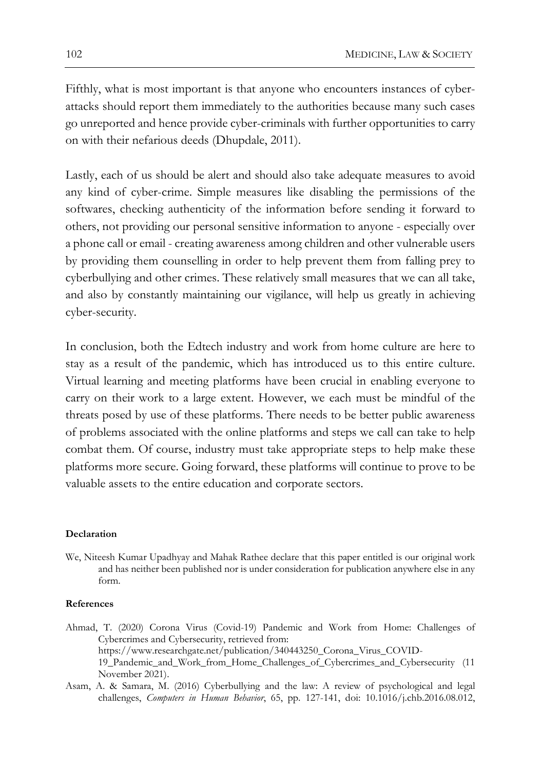Fifthly, what is most important is that anyone who encounters instances of cyberattacks should report them immediately to the authorities because many such cases go unreported and hence provide cyber-criminals with further opportunities to carry on with their nefarious deeds (Dhupdale, 2011).

Lastly, each of us should be alert and should also take adequate measures to avoid any kind of cyber-crime. Simple measures like disabling the permissions of the softwares, checking authenticity of the information before sending it forward to others, not providing our personal sensitive information to anyone - especially over a phone call or email - creating awareness among children and other vulnerable users by providing them counselling in order to help prevent them from falling prey to cyberbullying and other crimes. These relatively small measures that we can all take, and also by constantly maintaining our vigilance, will help us greatly in achieving cyber-security.

In conclusion, both the Edtech industry and work from home culture are here to stay as a result of the pandemic, which has introduced us to this entire culture. Virtual learning and meeting platforms have been crucial in enabling everyone to carry on their work to a large extent. However, we each must be mindful of the threats posed by use of these platforms. There needs to be better public awareness of problems associated with the online platforms and steps we call can take to help combat them. Of course, industry must take appropriate steps to help make these platforms more secure. Going forward, these platforms will continue to prove to be valuable assets to the entire education and corporate sectors.

#### **Declaration**

We, Niteesh Kumar Upadhyay and Mahak Rathee declare that this paper entitled is our original work and has neither been published nor is under consideration for publication anywhere else in any form.

#### **References**

- Ahmad, T. (2020) Corona Virus (Covid-19) Pandemic and Work from Home: Challenges of Cybercrimes and Cybersecurity, retrieved from: https://www.researchgate.net/publication/340443250\_Corona\_Virus\_COVID-19\_Pandemic\_and\_Work\_from\_Home\_Challenges\_of\_Cybercrimes\_and\_Cybersecurity (11 November 2021).
- Asam, A. & Samara, M. (2016) Cyberbullying and the law: A review of psychological and legal challenges, *Computers in Human Behavior*, 65, pp. 127-141, doi: 10.1016/j.chb.2016.08.012,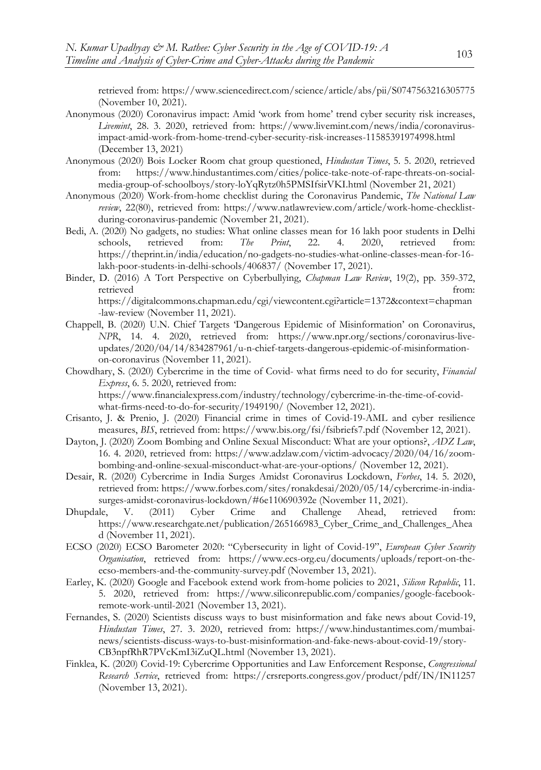retrieved from: https://www.sciencedirect.com/science/article/abs/pii/S0747563216305775 (November 10, 2021).

- Anonymous (2020) Coronavirus impact: Amid 'work from home' trend cyber security risk increases, *Livemint*, 28. 3. 2020, retrieved from: https://www.livemint.com/news/india/coronavirusimpact-amid-work-from-home-trend-cyber-security-risk-increases-11585391974998.html (December 13, 2021)
- Anonymous (2020) Bois Locker Room chat group questioned, *Hindustan Times*, 5. 5. 2020, retrieved<br>from: https://www.hindustantimes.com/cities/police-take-note-of-rape-threats-on-socialhttps://www.hindustantimes.com/cities/police-take-note-of-rape-threats-on-socialmedia-group-of-schoolboys/story-loYqRytz0h5PMSIfsirVKI.html (November 21, 2021)
- Anonymous (2020) Work-from-home checklist during the Coronavirus Pandemic, *The National Law review*, 22(80), retrieved from: https://www.natlawreview.com/article/work-home-checklistduring-coronavirus-pandemic (November 21, 2021).
- Bedi, A. (2020) No gadgets, no studies: What online classes mean for 16 lakh poor students in Delhi schools, retrieved from: *The Print*, 22. 4. 2020, retrieved from: https://theprint.in/india/education/no-gadgets-no-studies-what-online-classes-mean-for-16 lakh-poor-students-in-delhi-schools/406837/ (November 17, 2021).
- Binder, D. (2016) A Tort Perspective on Cyberbullying, *Chapman Law Review*, 19(2), pp. 359-372, retrieved from: https://digitalcommons.chapman.edu/cgi/viewcontent.cgi?article=1372&context=chapman -law-review (November 11, 2021).
- Chappell, B. (2020) U.N. Chief Targets 'Dangerous Epidemic of Misinformation' on Coronavirus, *NPR*, 14. 4. 2020, retrieved from: https://www.npr.org/sections/coronavirus-liveupdates/2020/04/14/834287961/u-n-chief-targets-dangerous-epidemic-of-misinformationon-coronavirus (November 11, 2021).
- Chowdhary, S. (2020) Cybercrime in the time of Covid- what firms need to do for security, *Financial Express*, 6. 5. 2020, retrieved from: https://www.financialexpress.com/industry/technology/cybercrime-in-the-time-of-covid-

what-firms-need-to-do-for-security/1949190/ (November 12, 2021).

- Crisanto, J. & Prenio, J. (2020) Financial crime in times of Covid-19-AML and cyber resilience measures, *BIS*, retrieved from: https://www.bis.org/fsi/fsibriefs7.pdf (November 12, 2021).
- Dayton, J. (2020) Zoom Bombing and Online Sexual Misconduct: What are your options?, *ADZ Law*, 16. 4. 2020, retrieved from: https://www.adzlaw.com/victim-advocacy/2020/04/16/zoombombing-and-online-sexual-misconduct-what-are-your-options/ (November 12, 2021).
- Desair, R. (2020) Cybercrime in India Surges Amidst Coronavirus Lockdown, *Forbes*, 14. 5. 2020, retrieved from: https://www.forbes.com/sites/ronakdesai/2020/05/14/cybercrime-in-indiasurges-amidst-coronavirus-lockdown/#6e110690392e (November 11, 2021).
- Dhupdale, V. (2011) Cyber Crime and Challenge Ahead, retrieved from: https://www.researchgate.net/publication/265166983\_Cyber\_Crime\_and\_Challenges\_Ahea d (November 11, 2021).
- ECSO (2020) ECSO Barometer 2020: "Cybersecurity in light of Covid-19", *European Cyber Security Organisation*, retrieved from: https://www.ecs-org.eu/documents/uploads/report-on-theecso-members-and-the-community-survey.pdf (November 13, 2021).
- Earley, K. (2020) Google and Facebook extend work from-home policies to 2021, *Silicon Republic*, 11. 5. 2020, retrieved from: https://www.siliconrepublic.com/companies/google-facebookremote-work-until-2021 (November 13, 2021).
- Fernandes, S. (2020) Scientists discuss ways to bust misinformation and fake news about Covid-19, *Hindustan Times*, 27. 3. 2020, retrieved from: https://www.hindustantimes.com/mumbainews/scientists-discuss-ways-to-bust-misinformation-and-fake-news-about-covid-19/story-CB3npfRhR7PVcKmI3iZuQL.html (November 13, 2021).
- Finklea, K. (2020) Covid-19: Cybercrime Opportunities and Law Enforcement Response, *Congressional Research Service*, retrieved from: https://crsreports.congress.gov/product/pdf/IN/IN11257 (November 13, 2021).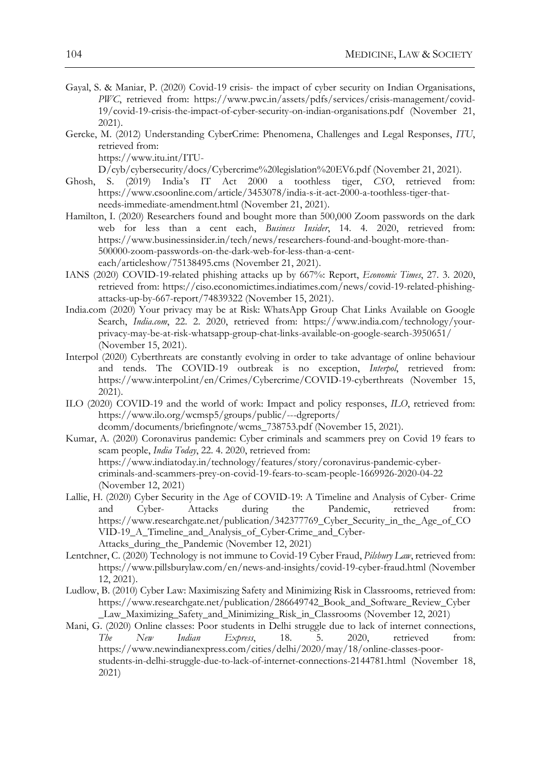- Gayal, S. & Maniar, P. (2020) Covid-19 crisis- the impact of cyber security on Indian Organisations, *PWC*, retrieved from: https://www.pwc.in/assets/pdfs/services/crisis-management/covid-19/covid-19-crisis-the-impact-of-cyber-security-on-indian-organisations.pdf (November 21, 2021).
- Gercke, M. (2012) Understanding CyberCrime: Phenomena, Challenges and Legal Responses, *ITU*, retrieved from:

https://www.itu.int/ITU-

D/cyb/cybersecurity/docs/Cybercrime%20legislation%20EV6.pdf (November 21, 2021).

- Ghosh, S. (2019) India's IT Act 2000 a toothless tiger, *CSO*, retrieved from: https://www.csoonline.com/article/3453078/india-s-it-act-2000-a-toothless-tiger-thatneeds-immediate-amendment.html (November 21, 2021).
- Hamilton, I. (2020) Researchers found and bought more than 500,000 Zoom passwords on the dark web for less than a cent each, *Business Insider*, 14. 4. 2020, retrieved from: https://www.businessinsider.in/tech/news/researchers-found-and-bought-more-than-500000-zoom-passwords-on-the-dark-web-for-less-than-a-centeach/articleshow/75138495.cms (November 21, 2021).
- IANS (2020) COVID-19-related phishing attacks up by 667%: Report, *Economic Times*, 27. 3. 2020, retrieved from: https://ciso.economictimes.indiatimes.com/news/covid-19-related-phishingattacks-up-by-667-report/74839322 (November 15, 2021).
- India.com (2020) Your privacy may be at Risk: WhatsApp Group Chat Links Available on Google Search, *India.com*, 22. 2. 2020, retrieved from: https://www.india.com/technology/yourprivacy-may-be-at-risk-whatsapp-group-chat-links-available-on-google-search-3950651/ (November 15, 2021).
- Interpol (2020) Cyberthreats are constantly evolving in order to take advantage of online behaviour and tends. The COVID-19 outbreak is no exception, *Interpol*, retrieved from: https://www.interpol.int/en/Crimes/Cybercrime/COVID-19-cyberthreats (November 15, 2021).
- ILO (2020) COVID-19 and the world of work: Impact and policy responses, *ILO*, retrieved from: https://www.ilo.org/wcmsp5/groups/public/---dgreports/ dcomm/documents/briefingnote/wcms\_738753.pdf (November 15, 2021).
- Kumar, A. (2020) Coronavirus pandemic: Cyber criminals and scammers prey on Covid 19 fears to scam people, *India Today*, 22. 4. 2020, retrieved from: https://www.indiatoday.in/technology/features/story/coronavirus-pandemic-cybercriminals-and-scammers-prey-on-covid-19-fears-to-scam-people-1669926-2020-04-22 (November 12, 2021)
- Lallie, H. (2020) Cyber Security in the Age of COVID-19: A Timeline and Analysis of Cyber- Crime and Cyber- Attacks during the Pandemic, retrieved from: https://www.researchgate.net/publication/342377769\_Cyber\_Security\_in\_the\_Age\_of\_CO VID-19\_A\_Timeline\_and\_Analysis\_of\_Cyber-Crime\_and\_Cyber-Attacks during the Pandemic (November 12, 2021)
- Lentchner, C. (2020) Technology is not immune to Covid-19 Cyber Fraud, *Pilsbury Law*, retrieved from: https://www.pillsburylaw.com/en/news-and-insights/covid-19-cyber-fraud.html (November 12, 2021).
- Ludlow, B. (2010) Cyber Law: Maximiszing Safety and Minimizing Risk in Classrooms, retrieved from: https://www.researchgate.net/publication/286649742\_Book\_and\_Software\_Review\_Cyber \_Law\_Maximizing\_Safety\_and\_Minimizing\_Risk\_in\_Classrooms (November 12, 2021)
- Mani, G. (2020) Online classes: Poor students in Delhi struggle due to lack of internet connections, *The New Indian Express*, 18. 5. 2020, retrieved from: https://www.newindianexpress.com/cities/delhi/2020/may/18/online-classes-poorstudents-in-delhi-struggle-due-to-lack-of-internet-connections-2144781.html (November 18, 2021)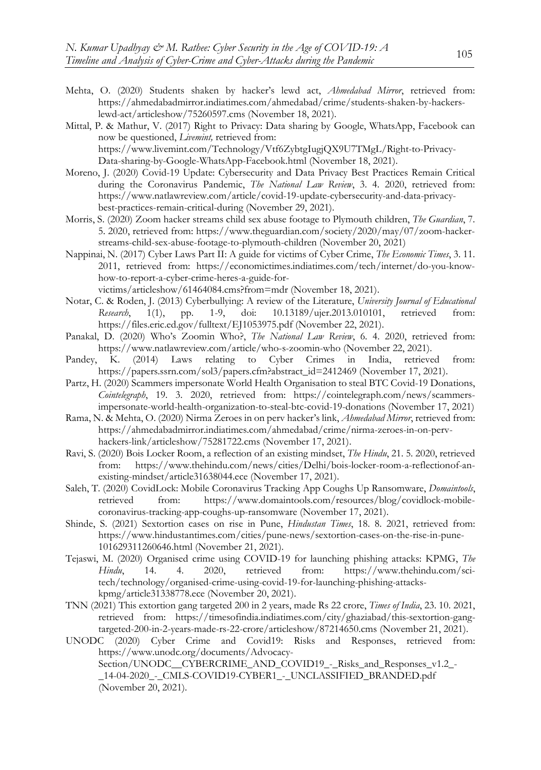- Mehta, O. (2020) Students shaken by hacker's lewd act, *Ahmedabad Mirror*, retrieved from: https://ahmedabadmirror.indiatimes.com/ahmedabad/crime/students-shaken-by-hackerslewd-act/articleshow/75260597.cms (November 18, 2021).
- Mittal, P. & Mathur, V. (2017) Right to Privacy: Data sharing by Google, WhatsApp, Facebook can now be questioned, *Livemint,* retrieved from: https://www.livemint.com/Technology/Vtf6ZybtgIugjQX9U7TMgL/Right-to-Privacy-

Data-sharing-by-Google-WhatsApp-Facebook.html (November 18, 2021).

- Moreno, J. (2020) Covid-19 Update: Cybersecurity and Data Privacy Best Practices Remain Critical during the Coronavirus Pandemic, *The National Law Review*, 3. 4. 2020, retrieved from: https://www.natlawreview.com/article/covid-19-update-cybersecurity-and-data-privacybest-practices-remain-critical-during (November 29, 2021).
- Morris, S. (2020) Zoom hacker streams child sex abuse footage to Plymouth children, *The Guardian*, 7. 5. 2020, retrieved from: https://www.theguardian.com/society/2020/may/07/zoom-hackerstreams-child-sex-abuse-footage-to-plymouth-children (November 20, 2021)
- Nappinai, N. (2017) Cyber Laws Part II: A guide for victims of Cyber Crime, *The Economic Times*, 3. 11. 2011, retrieved from: https://economictimes.indiatimes.com/tech/internet/do-you-knowhow-to-report-a-cyber-crime-heres-a-guide-forvictims/articleshow/61464084.cms?from=mdr (November 18, 2021).
- Notar, C. & Roden, J. (2013) Cyberbullying: A review of the Literature, *University Journal of Educational Research*, 1(1), pp. 1-9, doi: 10.13189/ujer.2013.010101, retrieved from: https://files.eric.ed.gov/fulltext/EJ1053975.pdf (November 22, 2021).
- Panakal, D. (2020) Who's Zoomin Who?, *The National Law Review*, 6. 4. 2020, retrieved from: https://www.natlawreview.com/article/who-s-zoomin-who (November 22, 2021).<br>
K. (2014) Laws relating to Cyber Crimes in India, retrieved from:
- Pandey, K. (2014) Laws relating to Cyber Crimes in India, https://papers.ssrn.com/sol3/papers.cfm?abstract\_id=2412469 (November 17, 2021).
- Partz, H. (2020) Scammers impersonate World Health Organisation to steal BTC Covid-19 Donations, *Cointelegraph*, 19. 3. 2020, retrieved from: https://cointelegraph.com/news/scammersimpersonate-world-health-organization-to-steal-btc-covid-19-donations (November 17, 2021)
- Rama, N. & Mehta, O. (2020) Nirma Zeroes in on perv hacker's link, *Ahmedabad Mirror*, retrieved from: https://ahmedabadmirror.indiatimes.com/ahmedabad/crime/nirma-zeroes-in-on-pervhackers-link/articleshow/75281722.cms (November 17, 2021).
- Ravi, S. (2020) Bois Locker Room, a reflection of an existing mindset, *The Hindu*, 21. 5. 2020, retrieved from: https://www.thehindu.com/news/cities/Delhi/bois-locker-room-a-reflectionof-anexisting-mindset/article31638044.ece (November 17, 2021).
- Saleh, T. (2020) CovidLock: Mobile Coronavirus Tracking App Coughs Up Ransomware, *Domaintools*, retrieved from: https://www.domaintools.com/resources/blog/covidlock-mobilecoronavirus-tracking-app-coughs-up-ransomware (November 17, 2021).
- Shinde, S. (2021) Sextortion cases on rise in Pune, *Hindustan Times*, 18. 8. 2021, retrieved from: https://www.hindustantimes.com/cities/pune-news/sextortion-cases-on-the-rise-in-pune-101629311260646.html (November 21, 2021).
- Tejaswi, M. (2020) Organised crime using COVID-19 for launching phishing attacks: KPMG, *The Hindu*, 14. 4. 2020, retrieved from: https://www.thehindu.com/scitech/technology/organised-crime-using-covid-19-for-launching-phishing-attackskpmg/article31338778.ece (November 20, 2021).
- TNN (2021) This extortion gang targeted 200 in 2 years, made Rs 22 crore, *Times of India*, 23. 10. 2021, retrieved from: https://timesofindia.indiatimes.com/city/ghaziabad/this-sextortion-gangtargeted-200-in-2-years-made-rs-22-crore/articleshow/87214650.cms (November 21, 2021).
- UNODC (2020) Cyber Crime and Covid19: Risks and Responses, retrieved from: https://www.unodc.org/documents/Advocacy-Section/UNODC\_CYBERCRIME\_AND\_COVID19\_-\_Risks\_and\_Responses\_v1.2\_-\_14-04-2020\_-\_CMLS-COVID19-CYBER1\_-\_UNCLASSIFIED\_BRANDED.pdf (November 20, 2021).